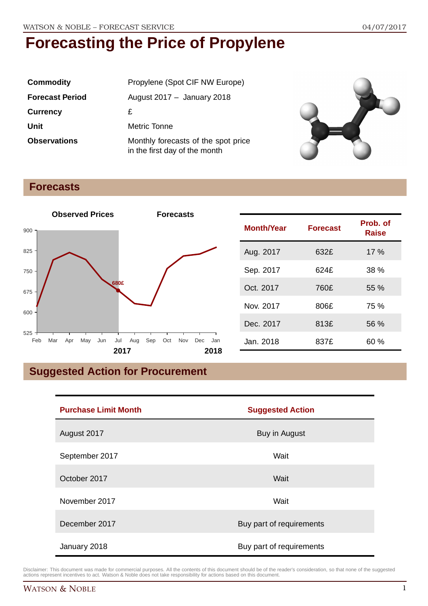| <b>Commodity</b>       | Propylene (Spot CIF NW Europe)                                       |
|------------------------|----------------------------------------------------------------------|
| <b>Forecast Period</b> | August $2017 -$ January 2018                                         |
| <b>Currency</b>        | £                                                                    |
| Unit                   | Metric Tonne                                                         |
| <b>Observations</b>    | Monthly forecasts of the spot price<br>in the first day of the month |



### **Forecasts**



| <b>Month/Year</b> | <b>Forecast</b> | Prob. of<br><b>Raise</b> |
|-------------------|-----------------|--------------------------|
| Aug. 2017         | 632£            | $17\%$                   |
| Sep. 2017         | 624£            | $38\%$                   |
| Oct. 2017         | 760£            | $55\%$                   |
| Nov. 2017         | 806£            | 75 %                     |
| Dec. 2017         | 813£            | 56 %                     |
| Jan. 2018         | 837£            | 60 %                     |

## **Suggested Action for Procurement**

| <b>Purchase Limit Month</b> | <b>Suggested Action</b>  |  |
|-----------------------------|--------------------------|--|
| August 2017                 | Buy in August            |  |
| September 2017              | Wait                     |  |
| October 2017                | Wait                     |  |
| November 2017               | Wait                     |  |
| December 2017               | Buy part of requirements |  |
| January 2018                | Buy part of requirements |  |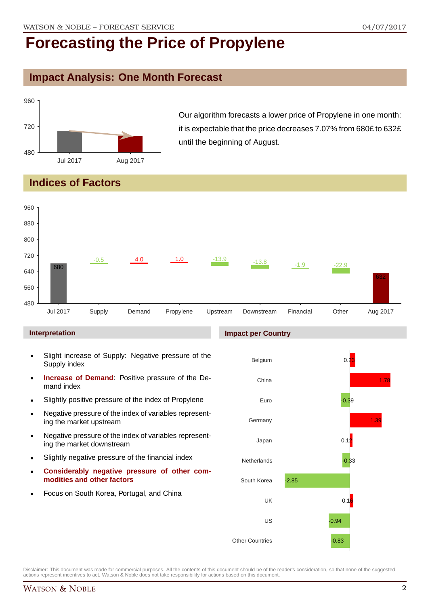## **Impact Analysis: One Month Forecast**



Our algorithm forecasts a lower price of Propylene in one month: it is expectable that the price decreases 7.07% from 680£ to 632£ until the beginning of August.

## **Indices of Factors**



#### **Interpretation**

- Slight increase of Supply: Negative pressure of the Supply index
- **Increase of Demand**: Positive pressure of the Demand index
- Slightly positive pressure of the index of Propylene
- Negative pressure of the index of variables representing the market upstream
- Negative pressure of the index of variables representing the market downstream
- Slightly negative pressure of the financial index
- **Considerably negative pressure of other commodities and other factors**
- **Focus on South Korea, Portugal, and China**

#### **Impact per Country**

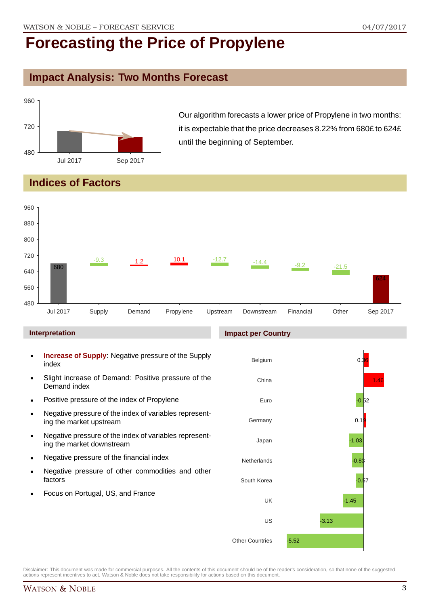## **Impact Analysis: Two Months Forecast**



Our algorithm forecasts a lower price of Propylene in two months: it is expectable that the price decreases 8.22% from 680£ to 624£ until the beginning of September.

## **Indices of Factors**



#### **Interpretation**

- **Increase of Supply**: Negative pressure of the Supply index
- Slight increase of Demand: Positive pressure of the Demand index
- **Positive pressure of the index of Propylene**
- Negative pressure of the index of variables representing the market upstream
- Negative pressure of the index of variables representing the market downstream
- **Negative pressure of the financial index**
- **Negative pressure of other commodities and other** factors
- Focus on Portugal, US, and France

#### **Impact per Country**

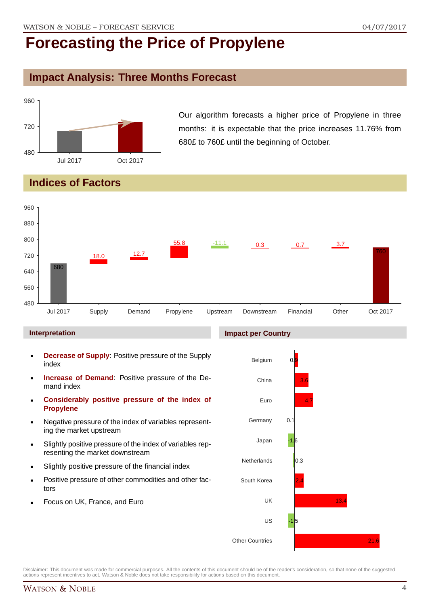### **Impact Analysis: Three Months Forecast**



Our algorithm forecasts a higher price of Propylene in three months: it is expectable that the price increases 11.76% from 680£ to 760£ until the beginning of October.

## **Indices of Factors**



#### **Interpretation**

- **Decrease of Supply**: Positive pressure of the Supply index
- **Increase of Demand**: Positive pressure of the Demand index
- **Considerably positive pressure of the index of Propylene**
- Negative pressure of the index of variables representing the market upstream
- Slightly positive pressure of the index of variables representing the market downstream
- Slightly positive pressure of the financial index
- Positive pressure of other commodities and other factors
- Focus on UK, France, and Euro

#### **Impact per Country**

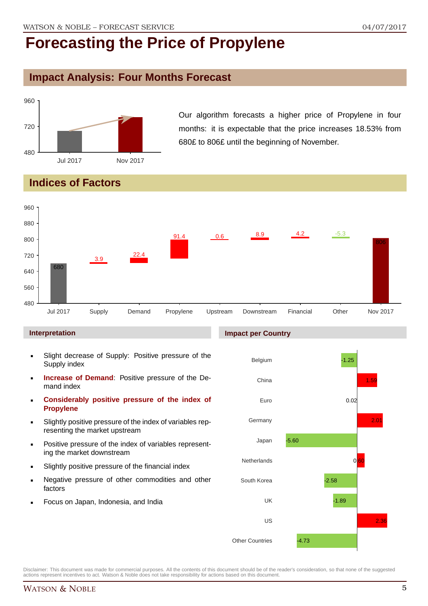## **Impact Analysis: Four Months Forecast**



Our algorithm forecasts a higher price of Propylene in four months: it is expectable that the price increases 18.53% from 680£ to 806£ until the beginning of November.

## **Indices of Factors**



#### **Interpretation**

- Slight decrease of Supply: Positive pressure of the Supply index
- **Increase of Demand**: Positive pressure of the Demand index
- **Considerably positive pressure of the index of Propylene**
- Slightly positive pressure of the index of variables representing the market upstream
- Positive pressure of the index of variables representing the market downstream
- Slightly positive pressure of the financial index
- Negative pressure of other commodities and other factors
- Focus on Japan, Indonesia, and India

#### **Impact per Country**

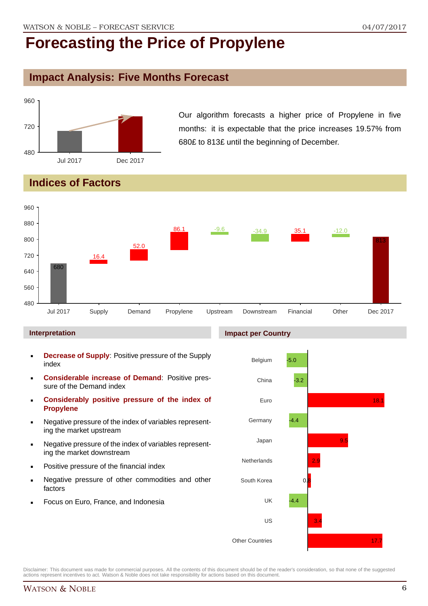## **Impact Analysis: Five Months Forecast**



Our algorithm forecasts a higher price of Propylene in five months: it is expectable that the price increases 19.57% from 680£ to 813£ until the beginning of December.

## **Indices of Factors**



#### **Interpretation**

- **Decrease of Supply**: Positive pressure of the Supply index
- **Considerable increase of Demand**: Positive pressure of the Demand index
- **Considerably positive pressure of the index of Propylene**
- Negative pressure of the index of variables representing the market upstream
- Negative pressure of the index of variables representing the market downstream
- Positive pressure of the financial index
- Negative pressure of other commodities and other factors
- Focus on Euro, France, and Indonesia

#### **Impact per Country**

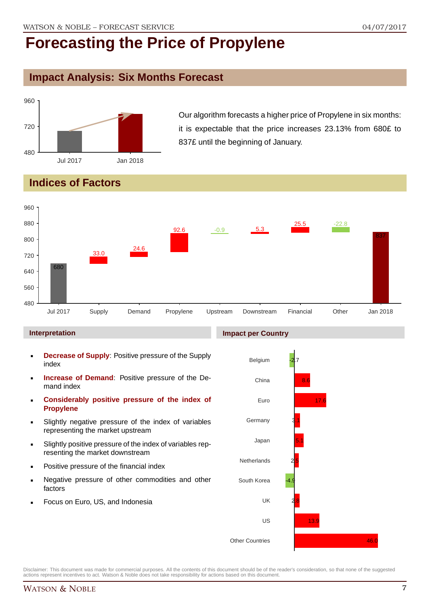## **Impact Analysis: Six Months Forecast**



Our algorithm forecasts a higher price of Propylene in six months: it is expectable that the price increases 23.13% from 680£ to 837£ until the beginning of January.

## **Indices of Factors**



#### **Interpretation**

- **Decrease of Supply**: Positive pressure of the Supply index
- **Increase of Demand**: Positive pressure of the Demand index
- **Considerably positive pressure of the index of Propylene**
- Slightly negative pressure of the index of variables representing the market upstream
- Slightly positive pressure of the index of variables representing the market downstream
- Positive pressure of the financial index
- Negative pressure of other commodities and other factors
- Focus on Euro, US, and Indonesia

#### **Impact per Country**

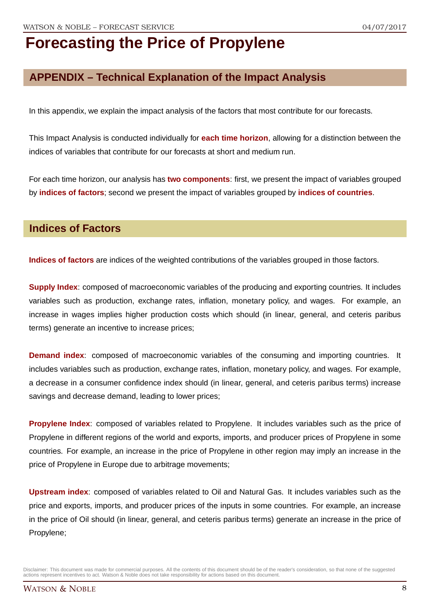## **APPENDIX – Technical Explanation of the Impact Analysis**

In this appendix, we explain the impact analysis of the factors that most contribute for our forecasts.

This Impact Analysis is conducted individually for **each time horizon**, allowing for a distinction between the indices of variables that contribute for our forecasts at short and medium run.

For each time horizon, our analysis has **two components**: first, we present the impact of variables grouped by **indices of factors**; second we present the impact of variables grouped by **indices of countries**.

### **Indices of Factors**

**Indices of factors** are indices of the weighted contributions of the variables grouped in those factors.

**Supply Index:** composed of macroeconomic variables of the producing and exporting countries. It includes variables such as production, exchange rates, inflation, monetary policy, and wages. For example, an increase in wages implies higher production costs which should (in linear, general, and ceteris paribus terms) generate an incentive to increase prices;

**Demand index**: composed of macroeconomic variables of the consuming and importing countries. It includes variables such as production, exchange rates, inflation, monetary policy, and wages. For example, a decrease in a consumer confidence index should (in linear, general, and ceteris paribus terms) increase savings and decrease demand, leading to lower prices;

**Propylene Index**: composed of variables related to Propylene. It includes variables such as the price of Propylene in different regions of the world and exports, imports, and producer prices of Propylene in some countries. For example, an increase in the price of Propylene in other region may imply an increase in the price of Propylene in Europe due to arbitrage movements;

**Upstream index**: composed of variables related to Oil and Natural Gas. It includes variables such as the price and exports, imports, and producer prices of the inputs in some countries. For example, an increase in the price of Oil should (in linear, general, and ceteris paribus terms) generate an increase in the price of Propylene;